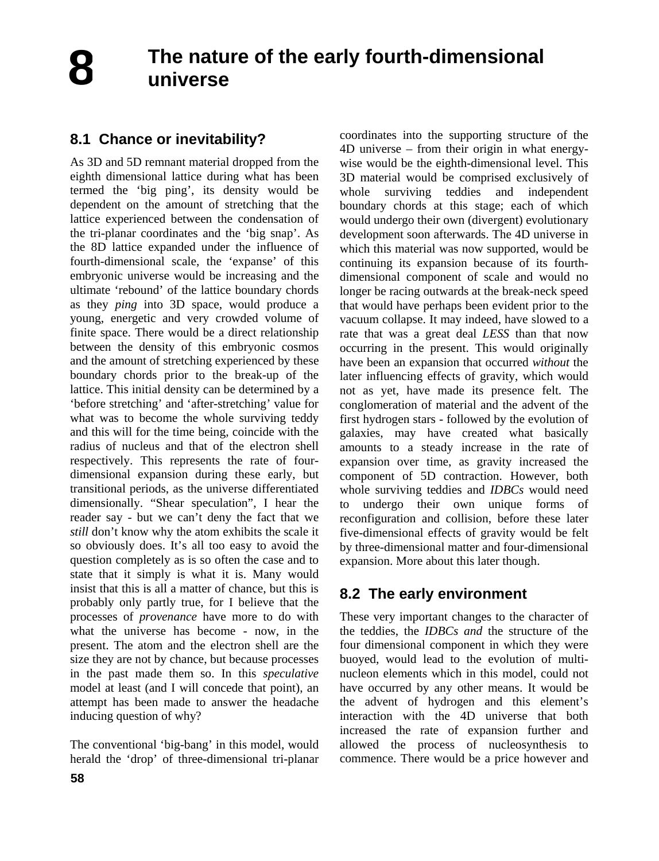**8**

# **8.1 Chance or inevitability?**

As 3D and 5D remnant material dropped from the eighth dimensional lattice during what has been termed the 'big ping', its density would be dependent on the amount of stretching that the lattice experienced between the condensation of the tri-planar coordinates and the 'big snap'. As the 8D lattice expanded under the influence of fourth-dimensional scale, the 'expanse' of this embryonic universe would be increasing and the ultimate 'rebound' of the lattice boundary chords as they *ping* into 3D space, would produce a young, energetic and very crowded volume of finite space. There would be a direct relationship between the density of this embryonic cosmos and the amount of stretching experienced by these boundary chords prior to the break-up of the lattice. This initial density can be determined by a 'before stretching' and 'after-stretching' value for what was to become the whole surviving teddy and this will for the time being, coincide with the radius of nucleus and that of the electron shell respectively. This represents the rate of fourdimensional expansion during these early, but transitional periods, as the universe differentiated dimensionally. "Shear speculation", I hear the reader say - but we can't deny the fact that we *still* don't know why the atom exhibits the scale it so obviously does. It's all too easy to avoid the question completely as is so often the case and to state that it simply is what it is. Many would insist that this is all a matter of chance, but this is probably only partly true, for I believe that the processes of *provenance* have more to do with what the universe has become - now, in the present. The atom and the electron shell are the size they are not by chance, but because processes in the past made them so. In this *speculative* model at least (and I will concede that point), an attempt has been made to answer the headache inducing question of why?

The conventional 'big-bang' in this model, would herald the 'drop' of three-dimensional tri-planar

coordinates into the supporting structure of the 4D universe – from their origin in what energywise would be the eighth-dimensional level. This 3D material would be comprised exclusively of whole surviving teddies and independent boundary chords at this stage; each of which would undergo their own (divergent) evolutionary development soon afterwards. The 4D universe in which this material was now supported, would be continuing its expansion because of its fourthdimensional component of scale and would no longer be racing outwards at the break-neck speed that would have perhaps been evident prior to the vacuum collapse. It may indeed, have slowed to a rate that was a great deal *LESS* than that now occurring in the present. This would originally have been an expansion that occurred *without* the later influencing effects of gravity, which would not as yet, have made its presence felt. The conglomeration of material and the advent of the first hydrogen stars - followed by the evolution of galaxies, may have created what basically amounts to a steady increase in the rate of expansion over time, as gravity increased the component of 5D contraction. However, both whole surviving teddies and *IDBCs* would need to undergo their own unique forms of reconfiguration and collision, before these later five-dimensional effects of gravity would be felt by three-dimensional matter and four-dimensional expansion. More about this later though.

# **8.2 The early environment**

These very important changes to the character of the teddies, the *IDBCs and* the structure of the four dimensional component in which they were buoyed, would lead to the evolution of multinucleon elements which in this model, could not have occurred by any other means. It would be the advent of hydrogen and this element's interaction with the 4D universe that both increased the rate of expansion further and allowed the process of nucleosynthesis to commence. There would be a price however and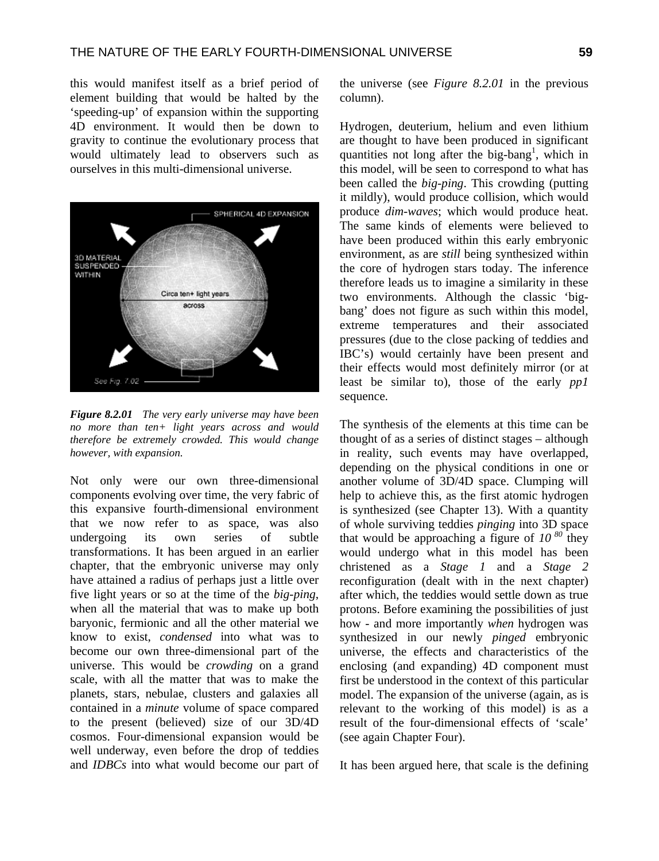this would manifest itself as a brief period of element building that would be halted by the 'speeding-up' of expansion within the supporting 4D environment. It would then be down to gravity to continue the evolutionary process that would ultimately lead to observers such as ourselves in this multi-dimensional universe.



*Figure 8.2.01 The very early universe may have been no more than ten+ light years across and would therefore be extremely crowded. This would change however, with expansion.* 

Not only were our own three-dimensional components evolving over time, the very fabric of this expansive fourth-dimensional environment that we now refer to as space, was also undergoing its own series of subtle transformations. It has been argued in an earlier chapter, that the embryonic universe may only have attained a radius of perhaps just a little over five light years or so at the time of the *big-ping*, when all the material that was to make up both baryonic, fermionic and all the other material we know to exist, *condensed* into what was to become our own three-dimensional part of the universe. This would be *crowding* on a grand scale, with all the matter that was to make the planets, stars, nebulae, clusters and galaxies all contained in a *minute* volume of space compared to the present (believed) size of our 3D/4D cosmos. Four-dimensional expansion would be well underway, even before the drop of teddies and *IDBCs* into what would become our part of the universe (see *Figure 8.2.01* in the previous column).

Hydrogen, deuterium, helium and even lithium are thought to have been produced in significant quantities not long after the big-bang<sup>1</sup>, which in this model, will be seen to correspond to what has been called the *big-ping*. This crowding (putting it mildly), would produce collision, which would produce *dim-waves*; which would produce heat. The same kinds of elements were believed to have been produced within this early embryonic environment, as are *still* being synthesized within the core of hydrogen stars today. The inference therefore leads us to imagine a similarity in these two environments. Although the classic 'bigbang' does not figure as such within this model, extreme temperatures and their associated pressures (due to the close packing of teddies and IBC's) would certainly have been present and their effects would most definitely mirror (or at least be similar to), those of the early *pp1* sequence.

The synthesis of the elements at this time can be thought of as a series of distinct stages – although in reality, such events may have overlapped, depending on the physical conditions in one or another volume of 3D/4D space. Clumping will help to achieve this, as the first atomic hydrogen is synthesized (see Chapter 13). With a quantity of whole surviving teddies *pinging* into 3D space that would be approaching a figure of  $10^{-80}$  they would undergo what in this model has been christened as a *Stage 1* and a *Stage 2* reconfiguration (dealt with in the next chapter) after which, the teddies would settle down as true protons. Before examining the possibilities of just how - and more importantly *when* hydrogen was synthesized in our newly *pinged* embryonic universe, the effects and characteristics of the enclosing (and expanding) 4D component must first be understood in the context of this particular model. The expansion of the universe (again, as is relevant to the working of this model) is as a result of the four-dimensional effects of 'scale' (see again Chapter Four).

It has been argued here, that scale is the defining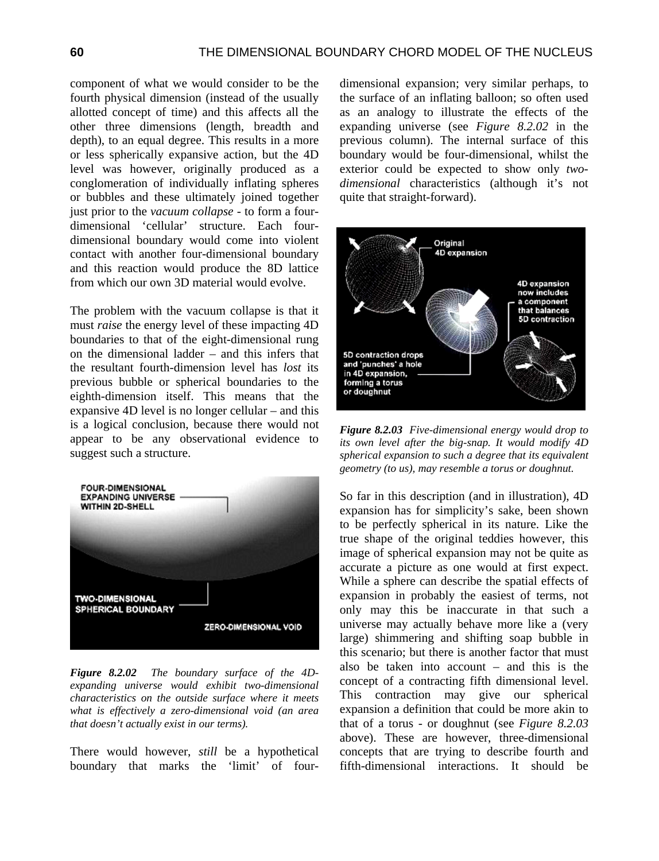component of what we would consider to be the fourth physical dimension (instead of the usually allotted concept of time) and this affects all the other three dimensions (length, breadth and depth), to an equal degree. This results in a more or less spherically expansive action, but the 4D level was however, originally produced as a conglomeration of individually inflating spheres or bubbles and these ultimately joined together just prior to the *vacuum collapse* - to form a fourdimensional 'cellular' structure. Each fourdimensional boundary would come into violent contact with another four-dimensional boundary and this reaction would produce the 8D lattice from which our own 3D material would evolve.

The problem with the vacuum collapse is that it must *raise* the energy level of these impacting 4D boundaries to that of the eight-dimensional rung on the dimensional ladder – and this infers that the resultant fourth-dimension level has *lost* its previous bubble or spherical boundaries to the eighth-dimension itself. This means that the expansive 4D level is no longer cellular – and this is a logical conclusion, because there would not appear to be any observational evidence to suggest such a structure.



*Figure 8.2.02 The boundary surface of the 4Dexpanding universe would exhibit two-dimensional characteristics on the outside surface where it meets what is effectively a zero-dimensional void (an area that doesn't actually exist in our terms).* 

There would however, *still* be a hypothetical boundary that marks the 'limit' of fourdimensional expansion; very similar perhaps, to the surface of an inflating balloon; so often used as an analogy to illustrate the effects of the expanding universe (see *Figure 8.2.02* in the previous column). The internal surface of this boundary would be four-dimensional, whilst the exterior could be expected to show only *twodimensional* characteristics (although it's not quite that straight-forward).



*Figure 8.2.03 Five-dimensional energy would drop to its own level after the big-snap. It would modify 4D spherical expansion to such a degree that its equivalent geometry (to us), may resemble a torus or doughnut.* 

So far in this description (and in illustration), 4D expansion has for simplicity's sake, been shown to be perfectly spherical in its nature. Like the true shape of the original teddies however, this image of spherical expansion may not be quite as accurate a picture as one would at first expect. While a sphere can describe the spatial effects of expansion in probably the easiest of terms, not only may this be inaccurate in that such a universe may actually behave more like a (very large) shimmering and shifting soap bubble in this scenario; but there is another factor that must also be taken into account – and this is the concept of a contracting fifth dimensional level. This contraction may give our spherical expansion a definition that could be more akin to that of a torus - or doughnut (see *Figure 8.2.03* above). These are however, three-dimensional concepts that are trying to describe fourth and fifth-dimensional interactions. It should be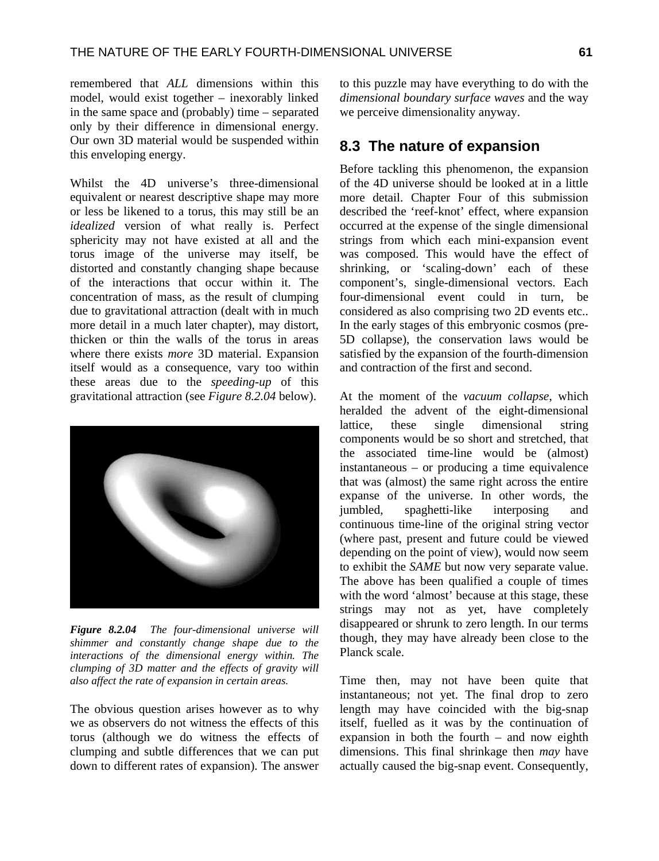remembered that *ALL* dimensions within this model, would exist together – inexorably linked in the same space and (probably) time – separated only by their difference in dimensional energy. Our own 3D material would be suspended within this enveloping energy.

Whilst the 4D universe's three-dimensional equivalent or nearest descriptive shape may more or less be likened to a torus, this may still be an *idealized* version of what really is. Perfect sphericity may not have existed at all and the torus image of the universe may itself, be distorted and constantly changing shape because of the interactions that occur within it. The concentration of mass, as the result of clumping due to gravitational attraction (dealt with in much more detail in a much later chapter), may distort, thicken or thin the walls of the torus in areas where there exists *more* 3D material. Expansion itself would as a consequence, vary too within these areas due to the *speeding-up* of this gravitational attraction (see *Figure 8.2.04* below).



*Figure 8.2.04 The four-dimensional universe will shimmer and constantly change shape due to the interactions of the dimensional energy within. The clumping of 3D matter and the effects of gravity will also affect the rate of expansion in certain areas.* 

The obvious question arises however as to why we as observers do not witness the effects of this torus (although we do witness the effects of clumping and subtle differences that we can put down to different rates of expansion). The answer to this puzzle may have everything to do with the *dimensional boundary surface waves* and the way we perceive dimensionality anyway.

## **8.3 The nature of expansion**

Before tackling this phenomenon, the expansion of the 4D universe should be looked at in a little more detail. Chapter Four of this submission described the 'reef-knot' effect, where expansion occurred at the expense of the single dimensional strings from which each mini-expansion event was composed. This would have the effect of shrinking, or 'scaling-down' each of these component's, single-dimensional vectors. Each four-dimensional event could in turn, be considered as also comprising two 2D events etc.. In the early stages of this embryonic cosmos (pre-5D collapse), the conservation laws would be satisfied by the expansion of the fourth-dimension and contraction of the first and second.

At the moment of the *vacuum collapse*, which heralded the advent of the eight-dimensional lattice, these single dimensional string components would be so short and stretched, that the associated time-line would be (almost) instantaneous – or producing a time equivalence that was (almost) the same right across the entire expanse of the universe. In other words, the jumbled, spaghetti-like interposing and continuous time-line of the original string vector (where past, present and future could be viewed depending on the point of view), would now seem to exhibit the *SAME* but now very separate value. The above has been qualified a couple of times with the word 'almost' because at this stage, these strings may not as yet, have completely disappeared or shrunk to zero length. In our terms though, they may have already been close to the Planck scale.

Time then, may not have been quite that instantaneous; not yet. The final drop to zero length may have coincided with the big-snap itself, fuelled as it was by the continuation of expansion in both the fourth – and now eighth dimensions. This final shrinkage then *may* have actually caused the big-snap event. Consequently,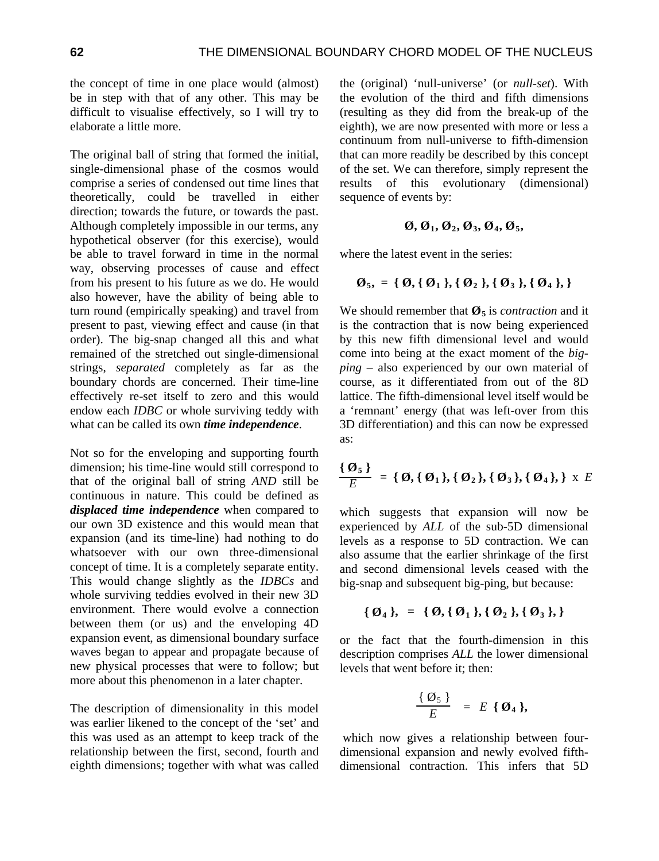the concept of time in one place would (almost) be in step with that of any other. This may be difficult to visualise effectively, so I will try to elaborate a little more.

The original ball of string that formed the initial, single-dimensional phase of the cosmos would comprise a series of condensed out time lines that theoretically, could be travelled in either direction; towards the future, or towards the past. Although completely impossible in our terms, any hypothetical observer (for this exercise), would be able to travel forward in time in the normal way, observing processes of cause and effect from his present to his future as we do. He would also however, have the ability of being able to turn round (empirically speaking) and travel from present to past, viewing effect and cause (in that order). The big-snap changed all this and what remained of the stretched out single-dimensional strings, *separated* completely as far as the boundary chords are concerned. Their time-line effectively re-set itself to zero and this would endow each *IDBC* or whole surviving teddy with what can be called its own *time independence*.

Not so for the enveloping and supporting fourth dimension; his time-line would still correspond to that of the original ball of string *AND* still be continuous in nature. This could be defined as *displaced time independence* when compared to our own 3D existence and this would mean that expansion (and its time-line) had nothing to do whatsoever with our own three-dimensional concept of time. It is a completely separate entity. This would change slightly as the *IDBCs* and whole surviving teddies evolved in their new 3D environment. There would evolve a connection between them (or us) and the enveloping 4D expansion event, as dimensional boundary surface waves began to appear and propagate because of new physical processes that were to follow; but more about this phenomenon in a later chapter.

The description of dimensionality in this model was earlier likened to the concept of the 'set' and this was used as an attempt to keep track of the relationship between the first, second, fourth and eighth dimensions; together with what was called

the (original) 'null-universe' (or *null-set*). With the evolution of the third and fifth dimensions (resulting as they did from the break-up of the eighth), we are now presented with more or less a continuum from null-universe to fifth-dimension that can more readily be described by this concept of the set. We can therefore, simply represent the results of this evolutionary (dimensional) sequence of events by:

$$
\emptyset, \emptyset_1, \emptyset_2, \emptyset_3, \emptyset_4, \emptyset_5,
$$

where the latest event in the series:

$$
\emptyset_5
$$
, = {  $\emptyset$ , {  $\emptyset_1$  }, {  $\emptyset_2$  }, {  $\emptyset_3$  }, {  $\emptyset_4$  }, }

We should remember that  $\mathcal{O}_5$  is *contraction* and it is the contraction that is now being experienced by this new fifth dimensional level and would come into being at the exact moment of the *bigping* – also experienced by our own material of course, as it differentiated from out of the 8D lattice. The fifth-dimensional level itself would be a 'remnant' energy (that was left-over from this 3D differentiation) and this can now be expressed as:

$$
\frac{\{\boldsymbol{\Theta}_5\}}{E} = \{\boldsymbol{\Theta}, \{\boldsymbol{\Theta}_1\}, \{\boldsymbol{\Theta}_2\}, \{\boldsymbol{\Theta}_3\}, \{\boldsymbol{\Theta}_4\}, \} \times E
$$

which suggests that expansion will now be experienced by *ALL* of the sub-5D dimensional levels as a response to 5D contraction. We can also assume that the earlier shrinkage of the first and second dimensional levels ceased with the big-snap and subsequent big-ping, but because:

$$
\{\emptyset_4\}, = \{\emptyset, \{\emptyset_1\}, \{\emptyset_2\}, \{\emptyset_3\}\}\
$$

or the fact that the fourth-dimension in this description comprises *ALL* the lower dimensional levels that went before it; then:

$$
\frac{\{\emptyset_{5}\}}{E} = E \{\emptyset_{4}\},
$$

which now gives a relationship between fourdimensional expansion and newly evolved fifthdimensional contraction. This infers that 5D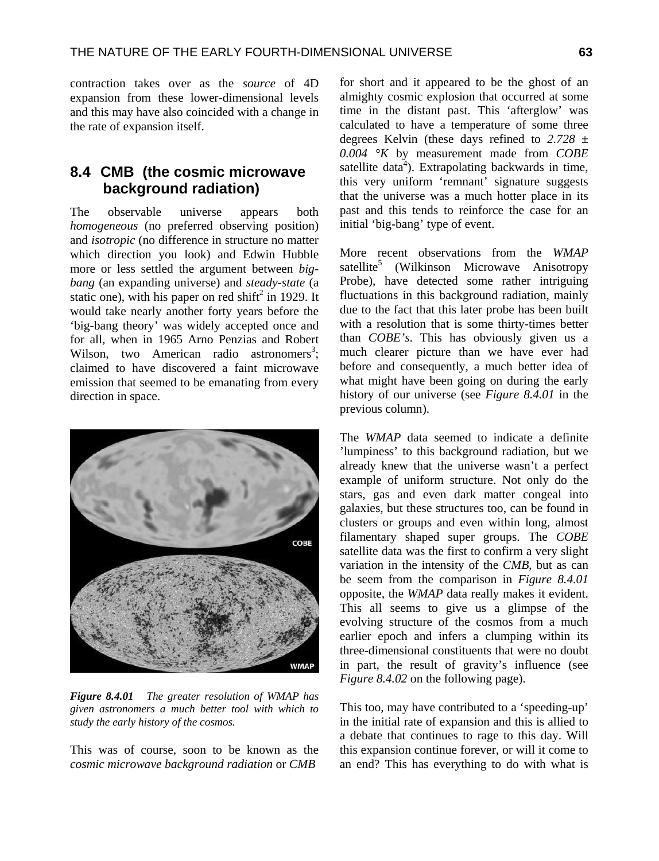contraction takes over as the *source* of 4D expansion from these lower-dimensional levels and this may have also coincided with a change in the rate of expansion itself.

## **8.4 CMB (the cosmic microwave background radiation)**

The observable universe appears both *homogeneous* (no preferred observing position) and *isotropic* (no difference in structure no matter which direction you look) and Edwin Hubble more or less settled the argument between *bigbang* (an expanding universe) and *steady-state* (a static one), with his paper on red shift<sup>2</sup> in 1929. It would take nearly another forty years before the 'big-bang theory' was widely accepted once and for all, when in 1965 Arno Penzias and Robert Wilson, two American radio astronomers<sup>3</sup>; claimed to have discovered a faint microwave emission that seemed to be emanating from every direction in space.



*Figure 8.4.01 The greater resolution of WMAP has given astronomers a much better tool with which to study the early history of the cosmos.* 

This was of course, soon to be known as the *cosmic microwave background radiation* or *CMB* 

for short and it appeared to be the ghost of an almighty cosmic explosion that occurred at some time in the distant past. This 'afterglow' was calculated to have a temperature of some three degrees Kelvin (these days refined to *2.728 ± 0.004 °K* by measurement made from *COBE* satellite data<sup>4</sup>). Extrapolating backwards in time, this very uniform 'remnant' signature suggests that the universe was a much hotter place in its past and this tends to reinforce the case for an initial 'big-bang' type of event.

More recent observations from the *WMAP* satellite<sup>5</sup> (Wilkinson Microwave Anisotropy Probe), have detected some rather intriguing fluctuations in this background radiation, mainly due to the fact that this later probe has been built with a resolution that is some thirty-times better than *COBE's*. This has obviously given us a much clearer picture than we have ever had before and consequently, a much better idea of what might have been going on during the early history of our universe (see *Figure 8.4.01* in the previous column).

The *WMAP* data seemed to indicate a definite 'lumpiness' to this background radiation, but we already knew that the universe wasn't a perfect example of uniform structure. Not only do the stars, gas and even dark matter congeal into galaxies, but these structures too, can be found in clusters or groups and even within long, almost filamentary shaped super groups. The *COBE*  satellite data was the first to confirm a very slight variation in the intensity of the *CMB*, but as can be seem from the comparison in *Figure 8.4.01* opposite, the *WMAP* data really makes it evident. This all seems to give us a glimpse of the evolving structure of the cosmos from a much earlier epoch and infers a clumping within its three-dimensional constituents that were no doubt in part, the result of gravity's influence (see *Figure 8.4.02* on the following page).

This too, may have contributed to a 'speeding-up' in the initial rate of expansion and this is allied to a debate that continues to rage to this day. Will this expansion continue forever, or will it come to an end? This has everything to do with what is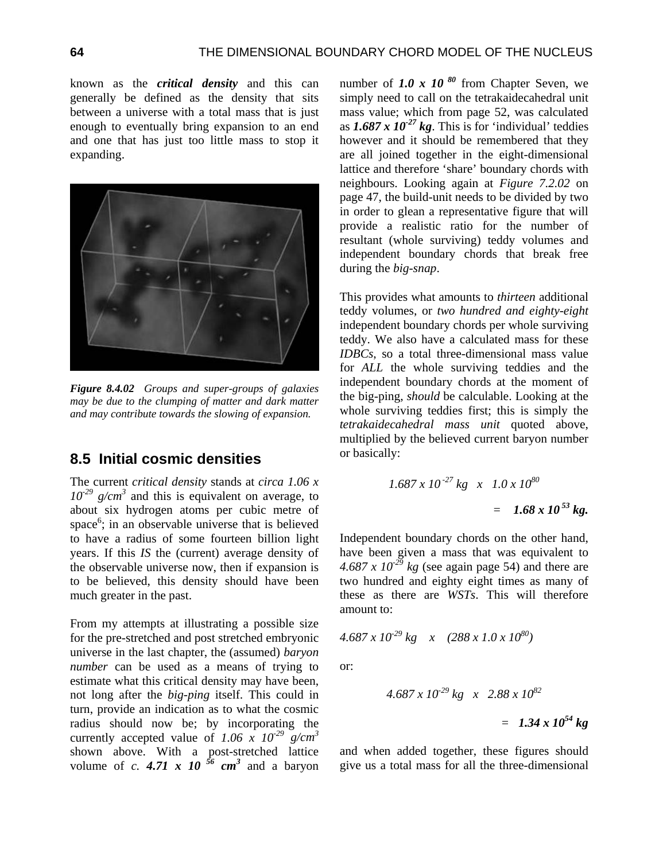known as the *critical density* and this can generally be defined as the density that sits between a universe with a total mass that is just enough to eventually bring expansion to an end and one that has just too little mass to stop it expanding.



*Figure 8.4.02 Groups and super-groups of galaxies may be due to the clumping of matter and dark matter and may contribute towards the slowing of expansion.* 

### **8.5 Initial cosmic densities**

The current *critical density* stands at *circa 1.06 x*   $10^{-29}$  g/cm<sup>3</sup> and this is equivalent on average, to about six hydrogen atoms per cubic metre of space<sup>6</sup>; in an observable universe that is believed to have a radius of some fourteen billion light years. If this *IS* the (current) average density of the observable universe now, then if expansion is to be believed, this density should have been much greater in the past.

From my attempts at illustrating a possible size for the pre-stretched and post stretched embryonic universe in the last chapter, the (assumed) *baryon number* can be used as a means of trying to estimate what this critical density may have been, not long after the *big-ping* itself. This could in turn, provide an indication as to what the cosmic radius should now be; by incorporating the currently accepted value of  $1.06 \times 10^{-29}$  g/cm<sup>3</sup> shown above. With a post-stretched lattice volume of *c.* **4.71** x 10<sup>56</sup> cm<sup>3</sup> and a baryon

number of **1.0 x 10<sup>80</sup>** from Chapter Seven, we simply need to call on the tetrakaidecahedral unit mass value; which from page 52, was calculated as  $1.687 \times 10^{-27}$  kg. This is for 'individual' teddies however and it should be remembered that they are all joined together in the eight-dimensional lattice and therefore 'share' boundary chords with neighbours. Looking again at *Figure 7.2.02* on page 47, the build-unit needs to be divided by two in order to glean a representative figure that will provide a realistic ratio for the number of resultant (whole surviving) teddy volumes and independent boundary chords that break free during the *big-snap*.

This provides what amounts to *thirteen* additional teddy volumes, or *two hundred and eighty-eight* independent boundary chords per whole surviving teddy. We also have a calculated mass for these *IDBCs*, so a total three-dimensional mass value for *ALL* the whole surviving teddies and the independent boundary chords at the moment of the big-ping, *should* be calculable. Looking at the whole surviving teddies first; this is simply the *tetrakaidecahedral mass unit* quoted above, multiplied by the believed current baryon number or basically:

$$
1.687 \times 10^{-27} \text{ kg} \times 1.0 \times 10^{80}
$$
  
= 1.68 x 10<sup>53</sup> kg.

Independent boundary chords on the other hand, have been given a mass that was equivalent to  $4.687 \times 10^{-29}$  kg (see again page 54) and there are two hundred and eighty eight times as many of these as there are *WSTs*. This will therefore amount to:

$$
4.687 \, x \, 10^{29} \, kg \quad x \quad (288 \, x \, 1.0 \, x \, 10^{80})
$$

or:

$$
4.687 \times 10^{29} \text{ kg} \times 2.88 \times 10^{82}
$$
  
= 1.34 x 10<sup>54</sup> kg

and when added together, these figures should give us a total mass for all the three-dimensional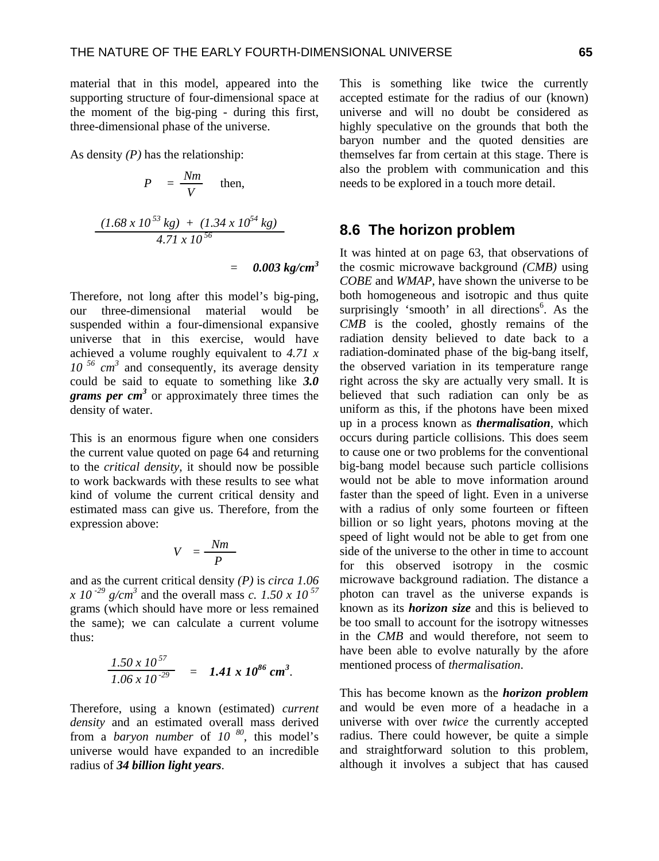material that in this model, appeared into the supporting structure of four-dimensional space at the moment of the big-ping - during this first, three-dimensional phase of the universe.

As density *(P)* has the relationship:

$$
P = \frac{Nm}{V} \quad \text{then,}
$$

$$
\frac{(1.68 \times 10^{53} \text{ kg}) + (1.34 \times 10^{54} \text{ kg})}{4.71 \times 10^{56}}
$$

$$
= 0.003 kg/cm^3
$$

Therefore, not long after this model's big-ping, our three-dimensional material would be suspended within a four-dimensional expansive universe that in this exercise, would have achieved a volume roughly equivalent to *4.71 x*  10<sup>56</sup> cm<sup>3</sup> and consequently, its average density could be said to equate to something like *3.0*  grams per cm<sup>3</sup> or approximately three times the density of water.

This is an enormous figure when one considers the current value quoted on page 64 and returning to the *critical density*, it should now be possible to work backwards with these results to see what kind of volume the current critical density and estimated mass can give us. Therefore, from the expression above:

$$
V = \frac{Nm}{P}
$$

and as the current critical density *(P)* is *circa 1.06 x 10<sup>-29</sup> g/cm<sup>3</sup>* and the overall mass *c.* 1.50 *x 10*<sup>57</sup> grams (which should have more or less remained the same); we can calculate a current volume thus:

$$
\frac{1.50 \times 10^{57}}{1.06 \times 10^{-29}} = 1.41 \times 10^{86} \text{ cm}^3.
$$

Therefore, using a known (estimated) *current density* and an estimated overall mass derived from a *baryon number* of *10 80*, this model's universe would have expanded to an incredible radius of *34 billion light years*.

This is something like twice the currently accepted estimate for the radius of our (known) universe and will no doubt be considered as highly speculative on the grounds that both the baryon number and the quoted densities are themselves far from certain at this stage. There is also the problem with communication and this needs to be explored in a touch more detail.

#### **8.6 The horizon problem**

It was hinted at on page 63, that observations of the cosmic microwave background *(CMB)* using *COBE* and *WMAP*, have shown the universe to be both homogeneous and isotropic and thus quite surprisingly 'smooth' in all directions<sup>6</sup>. As the *CMB* is the cooled, ghostly remains of the radiation density believed to date back to a radiation-dominated phase of the big-bang itself, the observed variation in its temperature range right across the sky are actually very small. It is believed that such radiation can only be as uniform as this, if the photons have been mixed up in a process known as *thermalisation*, which occurs during particle collisions. This does seem to cause one or two problems for the conventional big-bang model because such particle collisions would not be able to move information around faster than the speed of light. Even in a universe with a radius of only some fourteen or fifteen billion or so light years, photons moving at the speed of light would not be able to get from one side of the universe to the other in time to account for this observed isotropy in the cosmic microwave background radiation. The distance a photon can travel as the universe expands is known as its *horizon size* and this is believed to be too small to account for the isotropy witnesses in the *CMB* and would therefore, not seem to have been able to evolve naturally by the afore mentioned process of *thermalisation*.

This has become known as the *horizon problem* and would be even more of a headache in a universe with over *twice* the currently accepted radius. There could however, be quite a simple and straightforward solution to this problem, although it involves a subject that has caused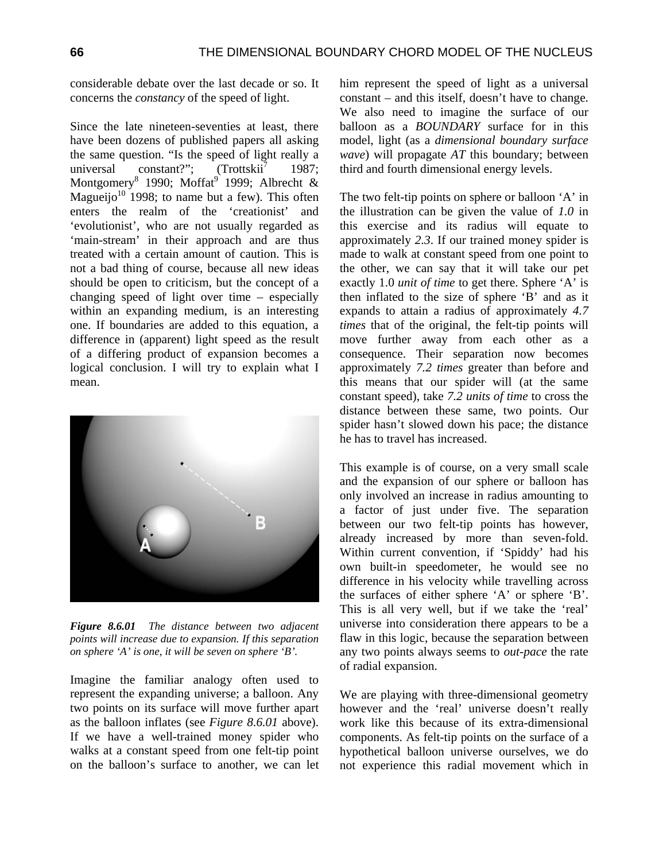considerable debate over the last decade or so. It concerns the *constancy* of the speed of light.

Since the late nineteen-seventies at least, there have been dozens of published papers all asking the same question. "Is the speed of light really a universal constant?"; (Trottskii<sup>7</sup> 1987; universal constant?";  $(Trottskii^7$  1987; Montgomery<sup>8</sup> 1990; Moffat<sup>9</sup> 1999; Albrecht & Magueijo<sup>10</sup> 1998; to name but a few). This often enters the realm of the 'creationist' and 'evolutionist', who are not usually regarded as 'main-stream' in their approach and are thus treated with a certain amount of caution. This is not a bad thing of course, because all new ideas should be open to criticism, but the concept of a changing speed of light over time – especially within an expanding medium, is an interesting one. If boundaries are added to this equation, a difference in (apparent) light speed as the result of a differing product of expansion becomes a logical conclusion. I will try to explain what I mean.



*Figure 8.6.01 The distance between two adjacent points will increase due to expansion. If this separation on sphere 'A' is one, it will be seven on sphere 'B'.* 

Imagine the familiar analogy often used to represent the expanding universe; a balloon. Any two points on its surface will move further apart as the balloon inflates (see *Figure 8.6.01* above). If we have a well-trained money spider who walks at a constant speed from one felt-tip point on the balloon's surface to another, we can let him represent the speed of light as a universal constant – and this itself, doesn't have to change. We also need to imagine the surface of our balloon as a *BOUNDARY* surface for in this model, light (as a *dimensional boundary surface wave*) will propagate *AT* this boundary; between third and fourth dimensional energy levels.

The two felt-tip points on sphere or balloon 'A' in the illustration can be given the value of *1.0* in this exercise and its radius will equate to approximately *2.3*. If our trained money spider is made to walk at constant speed from one point to the other, we can say that it will take our pet exactly 1.0 *unit of time* to get there. Sphere 'A' is then inflated to the size of sphere 'B' and as it expands to attain a radius of approximately *4.7 times* that of the original, the felt-tip points will move further away from each other as a consequence. Their separation now becomes approximately *7.2 times* greater than before and this means that our spider will (at the same constant speed), take *7.2 units of time* to cross the distance between these same, two points. Our spider hasn't slowed down his pace; the distance he has to travel has increased.

This example is of course, on a very small scale and the expansion of our sphere or balloon has only involved an increase in radius amounting to a factor of just under five. The separation between our two felt-tip points has however, already increased by more than seven-fold. Within current convention, if 'Spiddy' had his own built-in speedometer, he would see no difference in his velocity while travelling across the surfaces of either sphere 'A' or sphere 'B'. This is all very well, but if we take the 'real' universe into consideration there appears to be a flaw in this logic, because the separation between any two points always seems to *out-pace* the rate of radial expansion.

We are playing with three-dimensional geometry however and the 'real' universe doesn't really work like this because of its extra-dimensional components. As felt-tip points on the surface of a hypothetical balloon universe ourselves, we do not experience this radial movement which in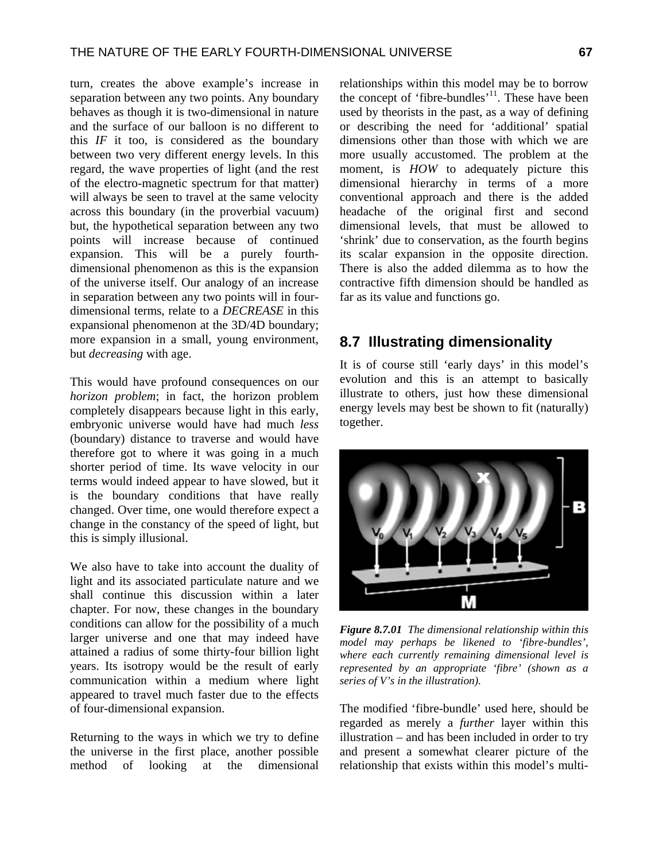turn, creates the above example's increase in separation between any two points. Any boundary behaves as though it is two-dimensional in nature and the surface of our balloon is no different to this *IF* it too, is considered as the boundary between two very different energy levels. In this regard, the wave properties of light (and the rest of the electro-magnetic spectrum for that matter) will always be seen to travel at the same velocity across this boundary (in the proverbial vacuum) but, the hypothetical separation between any two points will increase because of continued expansion. This will be a purely fourthdimensional phenomenon as this is the expansion of the universe itself. Our analogy of an increase in separation between any two points will in fourdimensional terms, relate to a *DECREASE* in this expansional phenomenon at the 3D/4D boundary; more expansion in a small, young environment, but *decreasing* with age.

This would have profound consequences on our *horizon problem*; in fact, the horizon problem completely disappears because light in this early, embryonic universe would have had much *less* (boundary) distance to traverse and would have therefore got to where it was going in a much shorter period of time. Its wave velocity in our terms would indeed appear to have slowed, but it is the boundary conditions that have really changed. Over time, one would therefore expect a change in the constancy of the speed of light, but this is simply illusional.

We also have to take into account the duality of light and its associated particulate nature and we shall continue this discussion within a later chapter. For now, these changes in the boundary conditions can allow for the possibility of a much larger universe and one that may indeed have attained a radius of some thirty-four billion light years. Its isotropy would be the result of early communication within a medium where light appeared to travel much faster due to the effects of four-dimensional expansion.

Returning to the ways in which we try to define the universe in the first place, another possible method of looking at the dimensional relationships within this model may be to borrow the concept of 'fibre-bundles'<sup>11</sup>. These have been used by theorists in the past, as a way of defining or describing the need for 'additional' spatial dimensions other than those with which we are more usually accustomed. The problem at the moment, is *HOW* to adequately picture this dimensional hierarchy in terms of a more conventional approach and there is the added headache of the original first and second dimensional levels, that must be allowed to 'shrink' due to conservation, as the fourth begins its scalar expansion in the opposite direction. There is also the added dilemma as to how the contractive fifth dimension should be handled as far as its value and functions go.

# **8.7 Illustrating dimensionality**

It is of course still 'early days' in this model's evolution and this is an attempt to basically illustrate to others, just how these dimensional energy levels may best be shown to fit (naturally) together.



*Figure 8.7.01 The dimensional relationship within this model may perhaps be likened to 'fibre-bundles', where each currently remaining dimensional level is represented by an appropriate 'fibre' (shown as a series of V's in the illustration).* 

The modified 'fibre-bundle' used here, should be regarded as merely a *further* layer within this illustration – and has been included in order to try and present a somewhat clearer picture of the relationship that exists within this model's multi-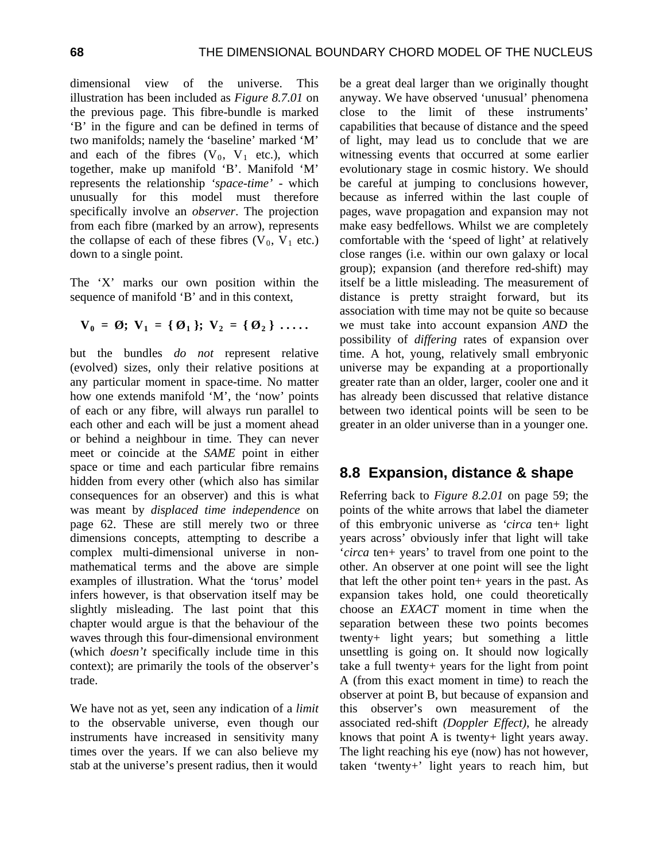dimensional view of the universe. This illustration has been included as *Figure 8.7.01* on the previous page. This fibre-bundle is marked 'B' in the figure and can be defined in terms of two manifolds; namely the 'baseline' marked 'M' and each of the fibres  $(V_0, V_1$  etc.), which together, make up manifold 'B'. Manifold 'M' represents the relationship *'space-time'* - which unusually for this model must therefore specifically involve an *observer*. The projection from each fibre (marked by an arrow), represents the collapse of each of these fibres  $(V_0, V_1$  etc.) down to a single point.

The 'X' marks our own position within the sequence of manifold 'B' and in this context,

$$
V_0 = \emptyset
$$
;  $V_1 = {\emptyset_1}$ ;  $V_2 = {\emptyset_2} \dots$ 

but the bundles *do not* represent relative (evolved) sizes, only their relative positions at any particular moment in space-time. No matter how one extends manifold 'M', the 'now' points of each or any fibre, will always run parallel to each other and each will be just a moment ahead or behind a neighbour in time. They can never meet or coincide at the *SAME* point in either space or time and each particular fibre remains hidden from every other (which also has similar consequences for an observer) and this is what was meant by *displaced time independence* on page 62. These are still merely two or three dimensions concepts, attempting to describe a complex multi-dimensional universe in nonmathematical terms and the above are simple examples of illustration. What the 'torus' model infers however, is that observation itself may be slightly misleading. The last point that this chapter would argue is that the behaviour of the waves through this four-dimensional environment (which *doesn't* specifically include time in this context); are primarily the tools of the observer's trade.

We have not as yet, seen any indication of a *limit* to the observable universe, even though our instruments have increased in sensitivity many times over the years. If we can also believe my stab at the universe's present radius, then it would

be a great deal larger than we originally thought anyway. We have observed 'unusual' phenomena close to the limit of these instruments' capabilities that because of distance and the speed of light, may lead us to conclude that we are witnessing events that occurred at some earlier evolutionary stage in cosmic history. We should be careful at jumping to conclusions however, because as inferred within the last couple of pages, wave propagation and expansion may not make easy bedfellows. Whilst we are completely comfortable with the 'speed of light' at relatively close ranges (i.e. within our own galaxy or local group); expansion (and therefore red-shift) may itself be a little misleading. The measurement of distance is pretty straight forward, but its association with time may not be quite so because we must take into account expansion *AND* the possibility of *differing* rates of expansion over time. A hot, young, relatively small embryonic universe may be expanding at a proportionally greater rate than an older, larger, cooler one and it has already been discussed that relative distance between two identical points will be seen to be greater in an older universe than in a younger one.

### **8.8 Expansion, distance & shape**

Referring back to *Figure 8.2.01* on page 59; the points of the white arrows that label the diameter of this embryonic universe as *'circa* ten+ light years across' obviously infer that light will take '*circa* ten+ years' to travel from one point to the other. An observer at one point will see the light that left the other point ten+ years in the past. As expansion takes hold, one could theoretically choose an *EXACT* moment in time when the separation between these two points becomes twenty+ light years; but something a little unsettling is going on. It should now logically take a full twenty+ years for the light from point A (from this exact moment in time) to reach the observer at point B, but because of expansion and this observer's own measurement of the associated red-shift *(Doppler Effect)*, he already knows that point A is twenty+ light years away. The light reaching his eye (now) has not however, taken 'twenty+' light years to reach him, but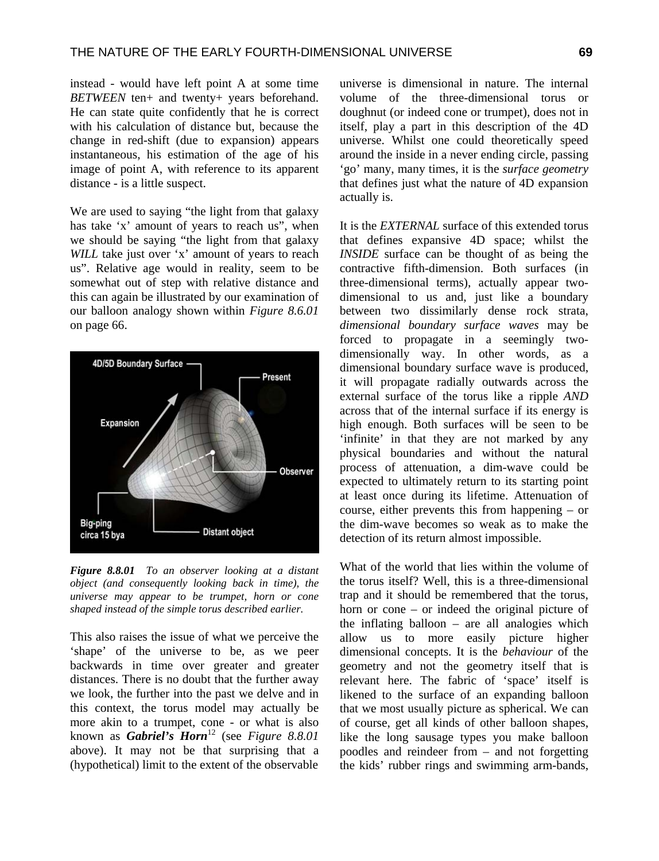instead - would have left point A at some time *BETWEEN* ten+ and twenty+ years beforehand. He can state quite confidently that he is correct with his calculation of distance but, because the change in red-shift (due to expansion) appears instantaneous, his estimation of the age of his image of point A, with reference to its apparent distance - is a little suspect.

We are used to saying "the light from that galaxy has take 'x' amount of years to reach us", when we should be saying "the light from that galaxy *WILL* take just over 'x' amount of years to reach us". Relative age would in reality, seem to be somewhat out of step with relative distance and this can again be illustrated by our examination of our balloon analogy shown within *Figure 8.6.01* on page 66.



*Figure 8.8.01 To an observer looking at a distant object (and consequently looking back in time), the universe may appear to be trumpet, horn or cone shaped instead of the simple torus described earlier.* 

This also raises the issue of what we perceive the 'shape' of the universe to be, as we peer backwards in time over greater and greater distances. There is no doubt that the further away we look, the further into the past we delve and in this context, the torus model may actually be more akin to a trumpet, cone - or what is also known as *Gabriel's Horn*12 (see *Figure 8.8.01* above). It may not be that surprising that a (hypothetical) limit to the extent of the observable

universe is dimensional in nature. The internal volume of the three-dimensional torus or doughnut (or indeed cone or trumpet), does not in itself, play a part in this description of the 4D universe. Whilst one could theoretically speed around the inside in a never ending circle, passing 'go' many, many times, it is the *surface geometry* that defines just what the nature of 4D expansion actually is.

It is the *EXTERNAL* surface of this extended torus that defines expansive 4D space; whilst the *INSIDE* surface can be thought of as being the contractive fifth-dimension. Both surfaces (in three-dimensional terms), actually appear twodimensional to us and, just like a boundary between two dissimilarly dense rock strata, *dimensional boundary surface waves* may be forced to propagate in a seemingly twodimensionally way. In other words, as a dimensional boundary surface wave is produced, it will propagate radially outwards across the external surface of the torus like a ripple *AND* across that of the internal surface if its energy is high enough. Both surfaces will be seen to be 'infinite' in that they are not marked by any physical boundaries and without the natural process of attenuation, a dim-wave could be expected to ultimately return to its starting point at least once during its lifetime. Attenuation of course, either prevents this from happening – or the dim-wave becomes so weak as to make the detection of its return almost impossible.

What of the world that lies within the volume of the torus itself? Well, this is a three-dimensional trap and it should be remembered that the torus, horn or cone – or indeed the original picture of the inflating balloon – are all analogies which allow us to more easily picture higher dimensional concepts. It is the *behaviour* of the geometry and not the geometry itself that is relevant here. The fabric of 'space' itself is likened to the surface of an expanding balloon that we most usually picture as spherical. We can of course, get all kinds of other balloon shapes, like the long sausage types you make balloon poodles and reindeer from – and not forgetting the kids' rubber rings and swimming arm-bands,